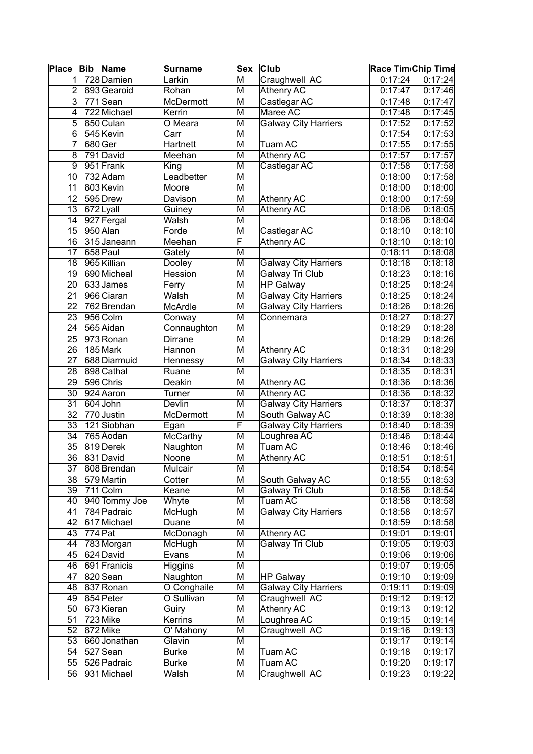| <b>Place</b>    | Bib       | Name          | Surname         | <b>Sex</b>              | <b>Club</b>                 | <b>Race Tim</b> Chip Time |         |
|-----------------|-----------|---------------|-----------------|-------------------------|-----------------------------|---------------------------|---------|
| 1               |           | 728 Damien    | Larkin          | M                       | Craughwell AC               | 0:17:24                   | 0:17:24 |
| 2               |           | 893 Gearoid   | Rohan           | M                       | <b>Athenry AC</b>           | 0:17:47                   | 0:17:46 |
| 3               |           | 771Sean       | McDermott       | M                       | Castlegar AC                | 0:17:48                   | 0:17:47 |
| 4               |           | 722 Michael   | Kerrin          | M                       | Maree AC                    | 0:17:48                   | 0:17:45 |
| 5               |           | 850 Culan     | O Meara         | M                       | <b>Galway City Harriers</b> | 0:17:52                   | 0:17:52 |
| 6               |           | 545 Kevin     | Carr            | M                       |                             | 0:17:54                   | 0:17:53 |
| 7               | 680 Ger   |               | Hartnett        | M                       | <b>Tuam AC</b>              | 0:17:55                   | 0:17:55 |
| 8               |           | 791 David     | Meehan          | M                       | <b>Athenry AC</b>           | 0:17:57                   | 0:17:57 |
| 9               |           | 951 Frank     | King            | M                       | Castlegar AC                | 0:17:58                   | 0:17:58 |
| 10              |           | 732 Adam      | Leadbetter      | M                       |                             | 0:18:00                   | 0:17:58 |
| 11              |           | 803 Kevin     | Moore           | M                       |                             | 0:18:00                   | 0:18:00 |
| 12              |           | 595 Drew      | Davison         | M                       | <b>Athenry AC</b>           | 0:18:00                   | 0:17:59 |
| 13              |           | 672Lyall      | Guiney          | M                       | <b>Athenry AC</b>           | 0:18:06                   | 0:18:05 |
| 14              |           | 927 Fergal    | Walsh           | M                       |                             | 0:18:06                   | 0:18:04 |
| 15              |           | 950 Alan      | Forde           | M                       | Castlegar AC                | 0:18:10                   | 0:18:10 |
| 16              |           | 315 Janeann   | Meehan          | F                       | <b>Athenry AC</b>           | 0:18:10                   | 0:18:10 |
| 17              |           | 658 Paul      | Gately          | M                       |                             | 0:18:11                   | 0:18:08 |
| 18              |           | 965 Killian   | Dooley          | M                       | <b>Galway City Harriers</b> | 0:18:18                   | 0:18:18 |
| 19              |           | 690 Micheal   | Hession         | M                       | Galway Tri Club             | 0:18:23                   | 0:18:16 |
| 20              |           | 633 James     | Ferry           | M                       | <b>HP Galway</b>            | 0:18:25                   | 0:18:24 |
| 21              |           | 966 Ciaran    | Walsh           | M                       | <b>Galway City Harriers</b> | 0:18:25                   | 0:18:24 |
| 22              |           | 762 Brendan   | McArdle         | M                       | <b>Galway City Harriers</b> | 0:18:26                   | 0:18:26 |
| 23              |           | 956 Colm      | Conway          | M                       | Connemara                   | 0:18:27                   | 0:18:27 |
| 24              |           | 565 Aidan     | Connaughton     | M                       |                             | 0:18:29                   | 0:18:28 |
| 25              |           | 973 Ronan     | Dirrane         | M                       |                             | 0:18:29                   | 0:18:26 |
| 26              |           | 185 Mark      | Hannon          | M                       | <b>Athenry AC</b>           | 0:18:31                   | 0:18:29 |
| 27              |           | 688 Diarmuid  | Hennessy        | M                       | <b>Galway City Harriers</b> | 0:18:34                   | 0:18:33 |
| 28              |           | 898 Cathal    | Ruane           | M                       |                             | 0:18:35                   | 0:18:31 |
| 29              |           | 596 Chris     | Deakin          | M                       | <b>Athenry AC</b>           | 0:18:36                   | 0:18:36 |
| $\overline{30}$ |           | 924 Aaron     | Turner          | M                       | <b>Athenry AC</b>           | 0:18:36                   | 0:18:32 |
| $\overline{31}$ |           | 604 John      | Devlin          | M                       | <b>Galway City Harriers</b> | 0:18:37                   | 0:18:37 |
| 32              |           | 770 Justin    | McDermott       | M                       | South Galway AC             | 0:18:39                   | 0:18:38 |
| 33              |           | $121$ Siobhan | Egan            | F                       | <b>Galway City Harriers</b> | 0:18:40                   | 0:18:39 |
| 34              |           | 765 Aodan     | <b>McCarthy</b> | M                       | Loughrea AC                 | 0:18:46                   | 0:18:44 |
| $\overline{35}$ |           | 819 Derek     | Naughton        | M                       | Tuam AC                     | 0:18:46                   | 0:18:46 |
| 36              |           | 831 David     | Noone           | $\overline{\mathsf{M}}$ | <b>Athenry AC</b>           | 0:18:51                   | 0:18:51 |
| 37              |           | 808 Brendan   | Mulcair         | M                       |                             | 0:18:54                   | 0:18:54 |
| $38$            |           | 579 Martin    | Cotter          | M                       | South Galway AC             | 0:18:55                   | 0:18:53 |
| 39              |           | 711 Colm      | Keane           | M                       | Galway Tri Club             | 0:18:56                   | 0:18:54 |
| 40              |           | 940 Tommy Joe | Whyte           | M                       | Tuam AC                     | 0:18:58                   | 0:18:58 |
| 41              |           | 784 Padraic   | McHugh          | M                       | <b>Galway City Harriers</b> | 0:18:58                   | 0:18:57 |
| 42              |           | 617 Michael   | Duane           | M                       |                             | 0:18:59                   | 0:18:58 |
| 43              | $774$ Pat |               | McDonagh        | M                       | Athenry AC                  | 0:19:01                   | 0:19:01 |
| 44              |           | 783 Morgan    | McHugh          | M                       | <b>Galway Tri Club</b>      | 0:19:05                   | 0:19:03 |
| 45              |           | 624 David     | Evans           | M                       |                             | 0:19:06                   | 0:19:06 |
| 46              |           | 691 Franicis  | Higgins         | M                       |                             | 0:19:07                   | 0:19:05 |
| 47              |           | 820 Sean      | Naughton        | M                       | <b>HP Galway</b>            | 0:19:10                   | 0:19:09 |
| 48              |           | 837 Ronan     | O Conghaile     | M                       | <b>Galway City Harriers</b> | 0:19:11                   | 0:19:09 |
| 49              |           | 854 Peter     | O Sullivan      | M                       | Craughwell AC               | 0:19:12                   | 0:19:12 |
| 50              |           | 673 Kieran    | Guiry           | M                       | Athenry AC                  | 0:19:13                   | 0:19:12 |
| 51              |           | $723$ Mike    | Kerrins         | M                       | Loughrea AC                 | 0:19:15                   | 0:19:14 |
| 52              |           | 872 Mike      | O' Mahony       | M                       | Craughwell AC               | 0:19:16                   | 0:19:13 |
| 53              |           | 660 Jonathan  | Glavin          | M                       |                             | 0:19:17                   | 0:19:14 |
| 54              |           | 527 Sean      | <b>Burke</b>    | M                       | Tuam AC                     | 0:19:18                   | 0:19:17 |
| 55              |           | 526 Padraic   | <b>Burke</b>    | M                       | Tuam AC                     | 0:19:20                   | 0:19:17 |
| 56              |           | 931 Michael   | Walsh           | M                       | Craughwell AC               | 0:19:23                   | 0:19:22 |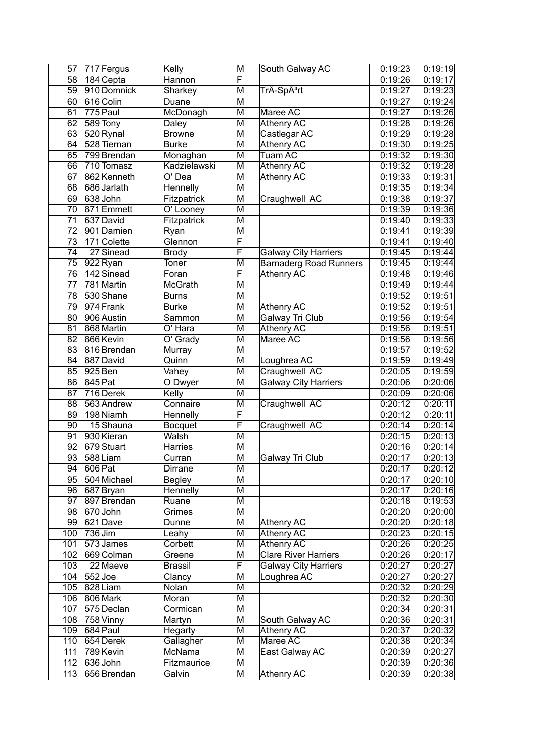| 57              |           | 717 Fergus  | Kelly          | M                       | South Galway AC               | 0:19:23 | 0:19:19 |
|-----------------|-----------|-------------|----------------|-------------------------|-------------------------------|---------|---------|
| 58              |           | 184 Cepta   | Hannon         | F                       |                               | 0:19:26 | 0:19:17 |
| 59              |           | 910 Domnick | Sharkey        | M                       | TrÃ-Spêrt                     | 0:19:27 | 0:19:23 |
| 60              |           | 616 Colin   | Duane          | M                       |                               | 0:19:27 | 0:19:24 |
| 61              |           | 775 Paul    | McDonagh       | M                       | Maree AC                      | 0:19:27 | 0:19:26 |
| 62              |           | 589 Tony    | Daley          | M                       | <b>Athenry AC</b>             | 0:19:28 | 0:19:26 |
| 63              |           | 520 Rynal   | <b>Browne</b>  | $\overline{\mathsf{M}}$ | Castlegar AC                  | 0:19:29 | 0:19:28 |
| 64              |           | 528 Tiernan | <b>Burke</b>   | $\overline{\mathsf{M}}$ | <b>Athenry AC</b>             | 0:19:30 | 0:19:25 |
| 65              |           | 799 Brendan | Monaghan       | $\overline{\mathsf{M}}$ | Tuam AC                       | 0:19:32 | 0:19:30 |
| 66              |           | 710 Tomasz  | Kadzielawski   | $\overline{\mathsf{M}}$ | <b>Athenry AC</b>             | 0:19:32 | 0:19:28 |
| 67              |           | 862 Kenneth | O' Dea         | $\overline{\mathsf{M}}$ | <b>Athenry AC</b>             | 0:19:33 | 0:19:31 |
| 68              |           | 686 Jarlath | Hennelly       | M                       |                               | 0:19:35 | 0:19:34 |
| 69              |           | 638 John    |                | M                       |                               | 0:19:38 |         |
|                 |           | 871 Emmett  | Fitzpatrick    | M                       | Craughwell AC                 |         | 0:19:37 |
| 70              |           |             | O' Looney      |                         |                               | 0:19:39 | 0:19:36 |
| $\overline{71}$ |           | 637 David   | Fitzpatrick    | $\overline{\mathsf{M}}$ |                               | 0:19:40 | 0:19:33 |
| $\overline{72}$ |           | 901 Damien  | Ryan           | $\overline{\mathsf{M}}$ |                               | 0:19:41 | 0:19:39 |
| $\overline{73}$ |           | 171 Colette | Glennon        | F                       |                               | 0:19:41 | 0:19:40 |
| 74              |           | 27 Sinead   | <b>Brody</b>   | F                       | <b>Galway City Harriers</b>   | 0:19:45 | 0:19:44 |
| 75              |           | 922 Ryan    | Toner          | M                       | <b>Barnaderg Road Runners</b> | 0:19:45 | 0:19:44 |
| 76              |           | 142 Sinead  | Foran          | F                       | <b>Athenry AC</b>             | 0:19:48 | 0:19:46 |
| 77              |           | 781 Martin  | <b>McGrath</b> | M                       |                               | 0:19:49 | 0:19:44 |
| 78              |           | 530 Shane   | <b>Burns</b>   | $\overline{\mathsf{M}}$ |                               | 0:19:52 | 0:19:51 |
| 79              |           | 974 Frank   | <b>Burke</b>   | M                       | Athenry AC                    | 0:19:52 | 0:19:51 |
| 80              |           | 906 Austin  | Sammon         | $\overline{\mathsf{M}}$ | <b>Galway Tri Club</b>        | 0:19:56 | 0:19:54 |
| 81              |           | 868 Martin  | O' Hara        | M                       | Athenry AC                    | 0:19:56 | 0:19:51 |
| 82              |           | 866 Kevin   | O' Grady       | M                       | Maree AC                      | 0:19:56 | 0:19:56 |
| 83              |           | 816 Brendan | Murray         | M                       |                               | 0:19:57 | 0:19:52 |
| 84              |           | 887 David   | Quinn          | $\overline{\mathsf{M}}$ | Loughrea AC                   | 0:19:59 | 0:19:49 |
| 85              |           | $925$ Ben   | Vahey          | $\overline{\mathsf{M}}$ | Craughwell AC                 | 0:20:05 | 0:19:59 |
| 86              | 845 Pat   |             | O Dwyer        | $\overline{\mathsf{M}}$ | <b>Galway City Harriers</b>   | 0:20:06 | 0:20:06 |
| 87              |           | 716 Derek   | Kelly          | $\overline{\mathsf{M}}$ |                               | 0:20:09 | 0:20:06 |
| $\overline{88}$ |           | 563 Andrew  | Connaire       | $\overline{\mathsf{M}}$ | Craughwell AC                 | 0:20:12 | 0:20:11 |
| 89              |           | 198 Niamh   |                | F                       |                               | 0:20:12 | 0:20:11 |
| 90              |           | 15Shauna    | Hennelly       | F                       |                               |         | 0:20:14 |
|                 |           |             | <b>Bocquet</b> |                         | Craughwell AC                 | 0:20:14 |         |
| 91              |           | 930 Kieran  | Walsh          | M                       |                               | 0:20:15 | 0:20:13 |
| 92              |           | 679Stuart   | Harries        | M                       |                               | 0:20:16 | 0:20:14 |
| 93              |           | 588Liam     | Curran         | $\overline{\mathsf{M}}$ | Galway Tri Club               | 0:20:17 | 0:20:13 |
| 94              | 606 Pat   |             | Dirrane        | M                       |                               | 0:20:17 | 0:20:12 |
| 95              |           | 504 Michael | <b>Begley</b>  | $\overline{\mathsf{M}}$ |                               | 0:20:17 | 0:20:10 |
| 96              |           | 687 Bryan   | Hennelly       | M                       |                               | 0:20:17 | 0:20:16 |
| 97              |           | 897 Brendan | Ruane          | M                       |                               | 0:20:18 | 0:19:53 |
| 98              |           | 670John     | Grimes         | M                       |                               | 0:20:20 | 0:20:00 |
| 99              |           | 621 Dave    | Dunne          | M                       | <b>Athenry AC</b>             | 0:20:20 | 0:20:18 |
| 100             | $736$ Jim |             | Leahy          | M                       | <b>Athenry AC</b>             | 0:20:23 | 0:20:15 |
| 101             |           | 573 James   | Corbett        | M                       | <b>Athenry AC</b>             | 0:20:26 | 0:20:25 |
| 102             |           | 669 Colman  | Greene         | M                       | <b>Clare River Harriers</b>   | 0:20:26 | 0:20:17 |
| 103             |           | 22 Maeve    | <b>Brassil</b> | F                       | <b>Galway City Harriers</b>   | 0:20:27 | 0:20:27 |
| 104             |           | $552$ Joe   | Clancy         | M                       | Loughrea AC                   | 0:20:27 | 0:20:27 |
| 105             |           | 828 Liam    | Nolan          | M                       |                               | 0:20:32 | 0:20:29 |
| 106             |           | 806 Mark    | Moran          | М                       |                               | 0:20:32 | 0:20:30 |
| 107             |           | 575 Declan  | Cormican       | М                       |                               | 0:20:34 | 0:20:31 |
| 108             |           | 758 Vinny   | Martyn         | M                       | South Galway AC               | 0:20:36 | 0:20:31 |
| 109             |           | 684 Paul    | Hegarty        | M                       | <b>Athenry AC</b>             | 0:20:37 | 0:20:32 |
| 110             |           | 654 Derek   | Gallagher      | M                       | Maree AC                      | 0:20:38 | 0:20:34 |
| 111             |           | 789 Kevin   | McNama         | M                       | East Galway AC                | 0:20:39 | 0:20:27 |
|                 |           |             |                |                         |                               |         |         |
| 112             |           | 636 John    | Fitzmaurice    | M                       |                               | 0:20:39 | 0:20:36 |
| 113             |           | 656 Brendan | Galvin         | M                       | Athenry AC                    | 0:20:39 | 0:20:38 |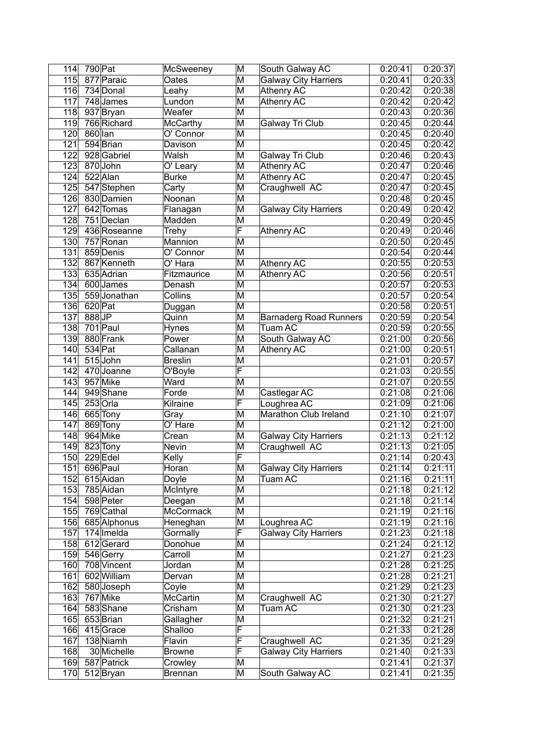| 114              | 790 Pat   |                          | McSweeney            | M                       | South Galway AC                              | 0:20:41            | 0:20:37            |
|------------------|-----------|--------------------------|----------------------|-------------------------|----------------------------------------------|--------------------|--------------------|
| $\overline{115}$ |           | $\overline{87}$ 7 Paraic | Oates                | M                       | <b>Galway City Harriers</b>                  | 0:20:41            | 0:20:33            |
| 116              |           | 734 Donal                | Leahy                | M                       | <b>Athenry AC</b>                            | 0:20:42            | 0:20:38            |
| 117              |           | $748$ James              | Lundon               | M                       | <b>Athenry AC</b>                            | 0:20:42            | 0:20:42            |
| 118              |           | 937 Bryan                | Weafer               | M                       |                                              | 0:20:43            | 0:20:36            |
| 119              |           | 766 Richard              | <b>McCarthy</b>      | M                       | Galway Tri Club                              | 0:20:45            | 0:20:44            |
| 120              | 860 lan   |                          | O' Connor            | M                       |                                              | 0:20:45            | 0:20:40            |
| 121              |           | 594 Brian                | Davison              | M                       |                                              | 0:20:45            | 0:20:42            |
| $\overline{122}$ |           | 928 Gabriel              | Walsh                | M                       | Galway Tri Club                              | 0:20:46            | 0:20:43            |
| 123              |           | 870 John                 | O' Leary             | M                       | <b>Athenry AC</b>                            | 0:20:47            | 0:20:46            |
| 124              |           | 522 Alan                 | <b>Burke</b>         | M                       | <b>Athenry AC</b>                            | 0:20:47            | 0:20:45            |
| 125              |           | 547 Stephen              | Carty                | M                       | Craughwell AC                                | 0:20:47            | 0:20:45            |
| 126              |           | 830 Damien               | Noonan               | M                       |                                              | 0:20:48            | 0:20:45            |
| 127              |           | 642 Tomas                | Flanagan             | M                       | <b>Galway City Harriers</b>                  | 0:20:49            | 0:20:42            |
| 128              |           | 751 Declan               | Madden               | M                       |                                              | 0:20:49            | 0:20:45            |
| $\overline{129}$ |           | 436 Roseanne             | Trehy                | $\overline{\mathsf{F}}$ | <b>Athenry AC</b>                            | 0:20:49            | 0:20:46            |
| 130              |           | 757 Ronan                | Mannion              | M                       |                                              | 0:20:50            | 0:20:45            |
| 131              |           | 859 Denis                | O' Connor            | M                       |                                              | 0:20:54            | 0:20:44            |
| 132              |           | 867 Kenneth              | $\overline{O'}$ Hara | M                       | <b>Athenry AC</b>                            | 0:20:55            | 0:20:53            |
| 133              |           | 635 Adrian               | Fitzmaurice          | M                       | <b>Athenry AC</b>                            | 0:20:56            | 0:20:51            |
| 134              |           | 600 James                | Denash               | M                       |                                              | 0:20:57            | 0:20:53            |
| 135              |           | 559 Jonathan             | Collins              | M                       |                                              | 0:20:57            | 0:20:54            |
| 136              | 620 Pat   |                          | Duggan               | M                       |                                              | 0:20:58            | 0:20:51            |
| $\overline{137}$ | 888JP     |                          | Quinn                | M                       | <b>Barnaderg Road Runners</b>                | 0:20:59            | 0:20:54            |
| 138              |           | $701$ Paul               | Hynes                | M                       | Tuam AC                                      | 0:20:59            | 0:20:55            |
| 139              |           | 880 Frank                | Power                | M                       | South Galway AC                              | 0:21:00            | 0:20:56            |
| 140              | $534$ Pat |                          | Callanan             | M                       | Athenry AC                                   | 0:21:00            | 0:20:51            |
| 141              |           | 515John                  | <b>Breslin</b>       | M                       |                                              | 0:21:01            | 0:20:57            |
| 142              |           | 470 Joanne               | O'Boyle              | F                       |                                              | 0:21:03            | 0:20:55            |
| 143              |           | 957 Mike                 | Ward                 | M                       |                                              | 0:21:07            | 0:20:55            |
| 144              |           | 949 Shane                | Forde                | M                       | Castlegar AC                                 | 0:21:08            | 0:21:06            |
| $\overline{145}$ |           | $253$ Orla               | Kilraine             | $\overline{\mathsf{F}}$ | Loughrea AC                                  | 0:21:09            | 0:21:06            |
| 146              |           | 665 Tony                 | Gray                 | M                       | Marathon Club Ireland                        | 0:21:10            | 0:21:07            |
| 147              |           | 869 Tony                 | O' Hare              | M                       |                                              | 0:21:12            | 0:21:00            |
| 148              |           | 964 Mike                 | Crean                | M                       | <b>Galway City Harriers</b>                  | 0:21:13            | 0:21:12            |
| 149              |           | 823 Tony                 | Nevin                | M                       | Craughwell AC                                | 0:21:13            | 0:21:05            |
| 150              |           | $229$ Edel               | Kelly                | F                       |                                              | 0:21:14            | 0:20:43            |
| $\overline{151}$ |           | 696 Paul                 | Horan                | $\overline{\mathsf{M}}$ | <b>Galway City Harriers</b>                  | 0:21:14            | 0:21:11            |
| 152              |           | 615 Aidan                | Doyle                | M                       | <b>Tuam AC</b>                               | 0:21:16            | 0:21:11            |
| 153              |           | 785 Aidan                | McIntyre             | M                       |                                              | 0:21:18            | 0:21:12            |
| 154              |           | 598 Peter                | Deegan               | M                       |                                              | 0:21:18            | 0:21:14            |
| 155              |           | 769 Cathal               | McCormack            | M                       |                                              | 0:21:19            | 0:21:16            |
| 156              |           | 685 Alphonus             | Heneghan             | M                       | Loughrea AC                                  | 0:21:19            | 0:21:16            |
| 157              |           | $174$  Imelda            | Gormally             | F                       | <b>Galway City Harriers</b>                  | 0:21:23            | 0:21:18            |
| 158              |           | 612Gerard                | Donohue              | M                       |                                              | 0:21:24            | 0:21:12            |
| 159              |           | 546 Gerry                | Carroll              | M                       |                                              | 0:21:27            | 0:21:23            |
| 160              |           | 708 Vincent              | Jordan               | M                       |                                              | 0:21:28            | 0:21:25            |
| 161              |           | 602 William              | Dervan               | M                       |                                              | 0:21:28            | 0:21:21            |
| 162              |           | 580 Joseph               | Coyle                | M                       |                                              | 0:21:29            | 0:21:23            |
| 163              |           | 767 Mike                 | <b>McCartin</b>      | M                       | Craughwell AC                                | 0:21:30            | 0:21:27            |
| 164              |           | 583Shane                 | Crisham              | M                       | Tuam AC                                      | 0:21:30            | 0:21:23            |
| 165              |           | 653 Brian                | Gallagher            | M<br>F                  |                                              | 0:21:32            | 0:21:21            |
| 166<br>167       |           | 415Grace                 | Shalloo<br>Flavin    | F                       |                                              | 0:21:33            | 0:21:28            |
| 168              |           | 138 Niamh<br>30 Michelle | <b>Browne</b>        | F                       | Craughwell AC<br><b>Galway City Harriers</b> | 0:21:35<br>0:21:40 | 0:21:29<br>0:21:33 |
| 169              |           | 587 Patrick              | Crowley              | M                       |                                              | 0:21:41            | 0:21:37            |
| 170              |           | 512 Bryan                | <b>Brennan</b>       | M                       | South Galway AC                              | 0:21:41            | 0:21:35            |
|                  |           |                          |                      |                         |                                              |                    |                    |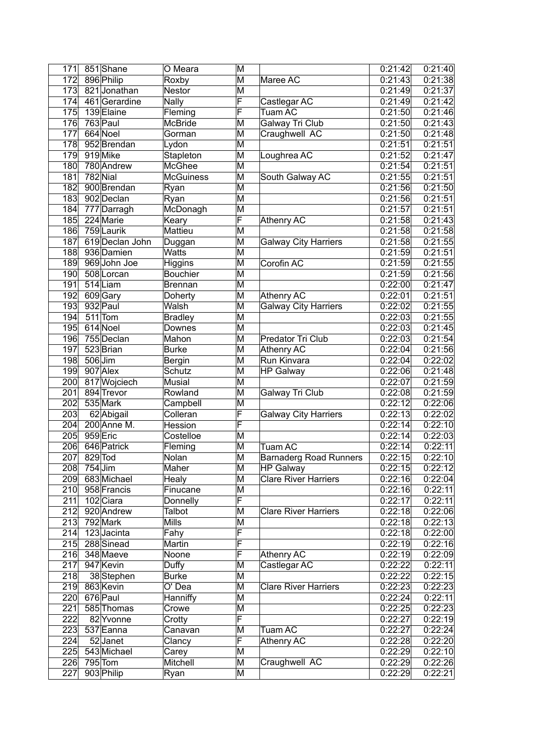| 171 |           | 851 Shane       | O Meara          | M |                               | 0:21:42              | 0:21:40 |
|-----|-----------|-----------------|------------------|---|-------------------------------|----------------------|---------|
| 172 |           | 896 Philip      | Roxby            | M | Maree AC                      | 0:21:43              | 0:21:38 |
| 173 |           | 821Jonathan     | Nestor           | M |                               | 0:21:49              | 0:21:37 |
| 174 |           | 461 Gerardine   | Nally            | F | Castlegar AC                  | $\overline{0:}21:49$ | 0:21:42 |
| 175 |           | 139 Elaine      | Fleming          | F | <b>Tuam AC</b>                | 0:21:50              | 0:21:46 |
| 176 |           | 763 Paul        | <b>McBride</b>   | M | Galway Tri Club               | 0:21:50              | 0:21:43 |
| 177 |           | 664 Noel        | Gorman           | M | Craughwell AC                 | 0:21:50              | 0:21:48 |
| 178 |           | 952 Brendan     | Lydon            | M |                               | 0:21:51              | 0:21:51 |
| 179 |           | 919 Mike        | Stapleton        | M | Loughrea AC                   | 0:21:52              | 0:21:47 |
| 180 |           | 780 Andrew      | <b>McGhee</b>    | M |                               | 0:21:54              | 0:21:51 |
| 181 |           | 782 Nial        | <b>McGuiness</b> | M | South Galway AC               | 0:21:55              | 0:21:51 |
| 182 |           | 900 Brendan     | Ryan             | M |                               | 0:21:56              | 0:21:50 |
| 183 |           | 902 Declan      | Ryan             | M |                               | 0:21:56              | 0:21:51 |
| 184 |           | 777 Darragh     | McDonagh         | M |                               | 0:21:57              | 0:21:51 |
| 185 |           | 224 Marie       | Keary            | F | <b>Athenry AC</b>             | 0:21:58              | 0:21:43 |
| 186 |           | 759 Laurik      | Mattieu          | M |                               | 0:21:58              | 0:21:58 |
| 187 |           | 619 Declan John | Duggan           | M | <b>Galway City Harriers</b>   | 0:21:58              | 0:21:55 |
| 188 |           | 936 Damien      | <b>Watts</b>     | M |                               | 0:21:59              | 0:21:51 |
| 189 |           | 969 John Joe    | <b>Higgins</b>   | M | Corofin AC                    | 0:21:59              | 0:21:55 |
| 190 |           | 508 Lorcan      | <b>Bouchier</b>  | M |                               | 0:21:59              | 0:21:56 |
| 191 |           | 514 Liam        |                  | M |                               | 0:22:00              | 0:21:47 |
| 192 |           |                 | <b>Brennan</b>   | M |                               | 0:22:01              | 0:21:51 |
|     |           | 609 Gary        | Doherty          | M | Athenry AC                    |                      |         |
| 193 |           | 932 Paul        | Walsh            |   | <b>Galway City Harriers</b>   | 0:22:02              | 0:21:55 |
| 194 |           | 511 Tom         | <b>Bradley</b>   | M |                               | 0:22:03              | 0:21:55 |
| 195 |           | 614 Noel        | Downes           | M |                               | 0:22:03              | 0:21:45 |
| 196 |           | 755 Declan      | Mahon            | M | Predator Tri Club             | 0:22:03              | 0:21:54 |
| 197 |           | 523 Brian       | <b>Burke</b>     | M | <b>Athenry AC</b>             | 0:22:04              | 0:21:56 |
| 198 |           | 506 Jim         | Bergin           | M | Run Kinvara                   | 0:22:04              | 0:22:02 |
| 199 |           | 907 Alex        | Schutz           | M | <b>HP Galway</b>              | 0:22:06              | 0:21:48 |
| 200 |           | 817 Wojciech    | <b>Musial</b>    | M |                               | 0:22:07              | 0:21:59 |
| 201 |           | 894 Trevor      | Rowland          | M | Galway Tri Club               | 0:22:08              | 0:21:59 |
| 202 |           | 535 Mark        | Campbell         | M |                               | 0:22:12              | 0:22:06 |
| 203 |           | 62 Abigail      | Colleran         | F | <b>Galway City Harriers</b>   | 0:22:13              | 0:22:02 |
| 204 |           | 200 Anne M.     | Hession          | F |                               | 0:22:14              | 0:22:10 |
| 205 |           | 959 Eric        | Costelloe        | M |                               | 0:22:14              | 0:22:03 |
| 206 |           | 646 Patrick     | Fleming          | M | <b>Tuam AC</b>                | 0:22:14              | 0:22:11 |
| 207 |           | 829 Tod         | Nolan            | M | <b>Barnaderg Road Runners</b> | 0:22:15              | 0:22:10 |
| 208 | $754$ Jim |                 | Maher            | M | <b>HP Galway</b>              | 0:22:15              | 0:22:12 |
| 209 |           | 683 Michael     | Healy            | M | <b>Clare River Harriers</b>   | 0:22:16              | 0:22:04 |
| 210 |           | 958 Francis     | Finucane         | M |                               | 0:22:16              | 0:22:11 |
| 211 |           | 102 Ciara       | Donnelly         | F |                               | 0:22:17              | 0:22:11 |
| 212 |           | 920 Andrew      | Talbot           | M | <b>Clare River Harriers</b>   | 0:22:18              | 0:22:06 |
| 213 |           | 792 Mark        | <b>Mills</b>     | M |                               | 0:22:18              | 0:22:13 |
| 214 |           | 123Jacinta      | Fahy             | F |                               | 0:22:18              | 0:22:00 |
| 215 |           | 288 Sinead      | Martin           | F |                               | 0:22:19              | 0:22:16 |
| 216 |           | 348 Maeve       | Noone            | F | <b>Athenry AC</b>             | 0:22:19              | 0:22:09 |
| 217 |           | 947 Kevin       | Duffy            | M | Castlegar AC                  | 0:22:22              | 0:22:11 |
| 218 |           | 38 Stephen      | <b>Burke</b>     | M |                               | 0:22:22              | 0:22:15 |
| 219 |           | 863 Kevin       | O' Dea           | M | <b>Clare River Harriers</b>   | 0:22:23              | 0:22:23 |
| 220 |           | 676 Paul        | Hanniffy         | M |                               | 0:22:24              | 0:22:11 |
| 221 |           | 585 Thomas      | Crowe            | M |                               | 0:22:25              | 0:22:23 |
| 222 |           | 82 Yvonne       | Crotty           | F |                               | 0:22:27              | 0:22:19 |
| 223 |           | 537 Eanna       | Canavan          | M | <b>Tuam AC</b>                | 0:22:27              | 0:22:24 |
| 224 |           | 52Janet         | Clancy           | F | Athenry AC                    | 0:22:28              | 0:22:20 |
| 225 |           | 543 Michael     | Carey            | M |                               | 0:22:29              | 0:22:10 |
| 226 |           | $795$ Tom       | Mitchell         | M | Craughwell AC                 | 0:22:29              | 0:22:26 |
| 227 |           | 903 Philip      | Ryan             | M |                               | 0:22:29              | 0:22:21 |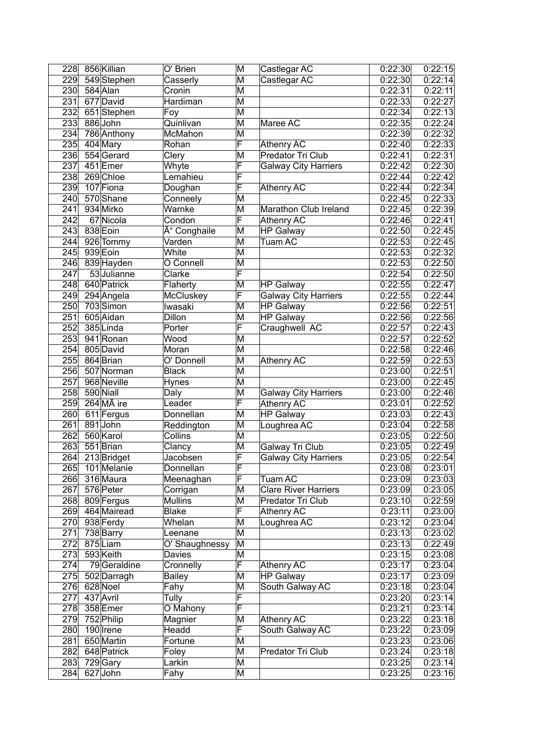| 228              | 856 Killian             | O' Brien       | M                       | Castlegar AC                | 0:22:30              | 0:22:15 |
|------------------|-------------------------|----------------|-------------------------|-----------------------------|----------------------|---------|
| 229              | 549 Stephen             | Casserly       | M                       | Castlegar AC                | 0:22:30              | 0:22:14 |
| $\overline{2}30$ | 584 Alan                | Cronin         | M                       |                             | 0:22:31              | 0:22:11 |
| 231              | 677 David               | Hardiman       | M                       |                             | 0:22:33              | 0:22:27 |
| 232              | 651 Stephen             | Foy            | M                       |                             | 0:22:34              | 0:22:13 |
| 233              | 886 John                | Quinlivan      | M                       | Maree AC                    | 0:22:35              | 0:22:24 |
| 234              | 786 Anthony             | McMahon        | M                       |                             | 0:22:39              | 0:22:32 |
| 235              | 404 Mary                | Rohan          | F                       | <b>Athenry AC</b>           | 0:22:40              | 0:22:33 |
| 236              | 554 Gerard              | Clery          | M                       | Predator Tri Club           | 0:22:41              | 0:22:31 |
| 237              | 451 Emer                | Whyte          | F                       | <b>Galway City Harriers</b> | 0:22:42              | 0:22:30 |
| 238              | 269 Chloe               | Lemahieu       | F                       |                             | 0:22:44              | 0:22:42 |
| 239              | 107 Fiona               | Doughan        | F                       | <b>Athenry AC</b>           | 0:22:44              | 0:22:34 |
| 240              | 570 Shane               | Conneely       | M                       |                             | 0:22:45              | 0:22:33 |
| $\overline{241}$ | 934 Mirko               | Warnke         | M                       | Marathon Club Ireland       | 0:22:45              | 0:22:39 |
| $\overline{242}$ | 67 Nicola               | Condon         | F                       | <b>Athenry AC</b>           | 0:22:46              | 0:22:41 |
| $\overline{243}$ | 838 Eoin                | Ó Conghaile    | M                       | <b>HP Galway</b>            | 0:22:50              | 0:22:45 |
| 244              | 926 Tommy               | Varden         | M                       | Tuam AC                     | 0:22:53              | 0:22:45 |
| 245              | 939 Eoin                | White          | M                       |                             | 0:22:53              | 0:22:32 |
| 246              | 839 Hayden              | O Connell      | M                       |                             | 0:22:53              | 0:22:50 |
| 247              | 53 Julianne             | Clarke         | F                       |                             | 0:22:54              | 0:22:50 |
| 248              | 640 Patrick             | Flaherty       | M                       | <b>HP Galway</b>            | 0:22:55              | 0:22:47 |
| 249              | 294 Angela              | McCluskey      | F                       | <b>Galway City Harriers</b> | 0:22:55              | 0:22:44 |
| 250              | 703 Simon               | Iwasaki        | M                       | <b>HP Galway</b>            | 0:22:56              | 0:22:51 |
| 251              | 605 Aidan               | Dillon         | M                       | <b>HP Galway</b>            | 0:22:56              | 0:22:56 |
| 252              | 385Linda                | Porter         | F                       | Craughwell AC               | 0:22:57              | 0:22:43 |
| 253              | 941 Ronan               | Wood           | M                       |                             | 0:22:57              | 0:22:52 |
| 254              | 805 David               | Moran          | M                       |                             | 0:22:58              | 0:22:46 |
| 255              | 864 Brian               | O' Donnell     | M                       | <b>Athenry AC</b>           | 0:22:59              | 0:22:53 |
| 256              | 507 Norman              | <b>Black</b>   | M                       |                             | 0:23:00              | 0:22:51 |
| $\overline{257}$ | 968 Neville             | Hynes          | M                       |                             | 0:23:00              | 0:22:45 |
| 258              | 590 Niall               | Daly           | M                       | <b>Galway City Harriers</b> | 0:23:00              | 0:22:46 |
| 259              | $264$ M $\tilde{A}$ ire | Leader         | $\overline{\mathsf{F}}$ | <b>Athenry AC</b>           | 0:23:01              | 0:22:52 |
| 260              | 611 Fergus              | Donnellan      | M                       | <b>HP Galway</b>            | 0:23:03              | 0:22:43 |
| 261              | 891John                 | Reddington     | M                       | Loughrea AC                 | $\overline{0:}23:04$ | 0:22:58 |
| 262              | 560 Karol               | Collins        | M                       |                             | 0:23:05              | 0:22:50 |
| 263              | 551 Brian               | Clancy         | M                       | Galway Tri Club             | 0:23:05              | 0:22:49 |
| 264              | 213 Bridget             | Jacobsen       | F                       | <b>Galway City Harriers</b> | 0:23:05              | 0:22:54 |
| 265              | 101 Melanie             | Donnellan      | F                       |                             | 0:23:08              | 0:23:01 |
| 266              | 316 Maura               | Meenaghan      | $\overline{\mathsf{F}}$ | <b>Tuam AC</b>              | 0:23:09              | 0:23:03 |
| 267              | 576 Peter               | Corrigan       | M                       | <b>Clare River Harriers</b> | 0:23:09              | 0:23:05 |
| 268              | 809 Fergus              | <b>Mullins</b> | M                       | Predator Tri Club           | 0:23:10              | 0:22:59 |
| 269              | 464 Mairead             | <b>Blake</b>   | F                       | <b>Athenry AC</b>           | 0:23:11              | 0:23:00 |
| 270              | 938 Ferdy               | Whelan         | M                       | Loughrea AC                 | 0:23:12              | 0:23:04 |
| 271              | 738 Barry               | Leenane        | M                       |                             | 0:23:13              | 0:23:02 |
| 272              | 875Liam                 | O' Shaughnessy | M                       |                             | 0:23:13              | 0:22:49 |
| 273              | 593 Keith               | Davies         | M                       |                             | 0:23:15              | 0:23:08 |
| 274              | 79Geraldine             | Cronnelly      | F                       | Athenry AC                  | 0:23:17              | 0:23:04 |
| 275              | 502 Darragh             | <b>Bailey</b>  | M                       | <b>HP Galway</b>            | 0:23:17              | 0:23:09 |
| 276              | 628 Noel                | Fahy           | M                       | South Galway AC             | 0:23:18              | 0:23:04 |
| 277              | 437 Avril               | Tully          | F                       |                             | 0:23:20              | 0:23:14 |
| 278              | 358 Emer                | O Mahony       | F                       |                             | 0:23:21              | 0:23:14 |
| 279              | 752 Philip              | Magnier        | M                       | Athenry AC                  | 0:23:22              | 0:23:18 |
| 280              | 190 Irene               | Headd          | F                       | South Galway AC             | 0:23:22              | 0:23:09 |
| 281              | 650 Martin              | Fortune        | M                       |                             | 0:23:23              | 0:23:06 |
| 282              | 648 Patrick             | Foley          | M                       | Predator Tri Club           | 0:23:24              | 0:23:18 |
| 283              | 729 Gary                | Larkin         | M                       |                             | 0:23:25              | 0:23:14 |
| 284              | 627 John                | Fahy           | M                       |                             | 0:23:25              | 0:23:16 |
|                  |                         |                |                         |                             |                      |         |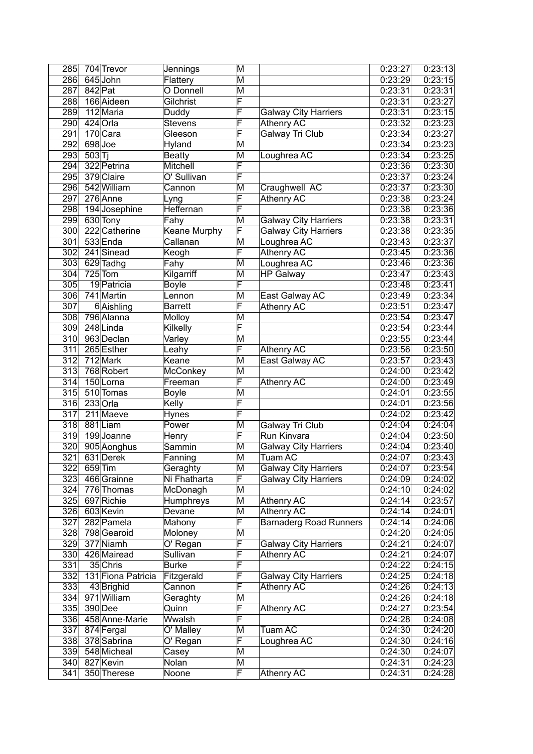| 285              |           | 704 Trevor                | Jennings            | M      |                               | 0:23:27            | 0:23:13            |
|------------------|-----------|---------------------------|---------------------|--------|-------------------------------|--------------------|--------------------|
| 286              |           | 645 John                  | Flattery            | M      |                               | 0:23:29            | 0:23:15            |
| 287              | $842$ Pat |                           | O Donnell           | M      |                               | 0:23:31            | 0:23:31            |
| 288              |           | 166 Aideen                | Gilchrist           | F      |                               | 0:23:31            | 0:23:27            |
| 289              |           | 112 Maria                 | Duddy               | F      | <b>Galway City Harriers</b>   | 0:23:31            | 0:23:15            |
| 290              |           | 424 Orla                  | <b>Stevens</b>      | F      | <b>Athenry AC</b>             | 0:23:32            | 0:23:23            |
| 291              |           | 170 Cara                  | Gleeson             | F      | Galway Tri Club               | 0:23:34            | 0:23:27            |
| 292              |           | 698 Joe                   | Hyland              | M      |                               | 0:23:34            | 0:23:23            |
| 293              | 503 T     |                           | <b>Beatty</b>       | M      | Loughrea AC                   | 0:23:34            | 0:23:25            |
| 294              |           | 322 Petrina               | Mitchell            | F      |                               | 0:23:36            | 0:23:30            |
| 295              |           | 379 Claire                | O' Sullivan         | F      |                               | 0:23:37            | 0:23:24            |
| 296              |           | 542 William               | Cannon              | M      | Craughwell AC                 | 0:23:37            | 0:23:30            |
| 297              |           | 276 Anne                  | Lyng                | F      | <b>Athenry AC</b>             | 0:23:38            | 0:23:24            |
| 298              |           | 194 Josephine             | Heffernan           | F      |                               | 0:23:38            | 0:23:36            |
| 299              |           | 630 Tony                  | Fahy                | M      | <b>Galway City Harriers</b>   | 0:23:38            | 0:23:31            |
| 300              |           | 222 Catherine             | <b>Keane Murphy</b> | F      | <b>Galway City Harriers</b>   | 0:23:38            | 0:23:35            |
| $\overline{301}$ |           | 533 Enda                  | Callanan            | M      | Loughrea AC                   | 0:23:43            | 0:23:37            |
| 302              |           | 241 Sinead                | Keogh               | F      | <b>Athenry AC</b>             | 0:23:45            | 0:23:36            |
| 303              |           | 629 Tadhg                 | Fahy                | M      | Loughrea AC                   | 0:23:46            | 0:23:36            |
| 304              |           | $725$ Tom                 | Kilgarriff          | M      | <b>HP Galway</b>              | 0:23:47            | 0:23:43            |
| 305              |           | 19 Patricia               | Boyle               | F      |                               | 0:23:48            | 0:23:41            |
| 306              |           | 741 Martin                | Lennon              | M      | East Galway AC                | 0:23:49            | 0:23:34            |
| 307              |           | 6Aishling                 | <b>Barrett</b>      | F      | <b>Athenry AC</b>             | 0:23:51            | 0:23:47            |
| 308              |           | 796 Alanna                | Molloy              | M      |                               | 0:23:54            | 0:23:47            |
| 309              |           | 248 Linda                 | Kilkelly            | F      |                               | 0:23:54            | 0:23:44            |
| 310              |           | 963 Declan                | Varley              | M      |                               | 0:23:55            | 0:23:44            |
| 311              |           | 265 Esther                | Leahy               | F      | Athenry AC                    | 0:23:56            | 0:23:50            |
| 312              |           | 712 Mark                  | Keane               | M      | East Galway AC                | 0:23:57            | 0:23:43            |
| 313              |           | 768 Robert                | McConkey            | M      |                               | 0:24:00            | 0:23:42            |
| 314              |           | 150Lorna                  | Freeman             | F      | <b>Athenry AC</b>             | 0:24:00            | 0:23:49            |
| 315              |           | 510 Tomas                 | Boyle               | M      |                               | 0:24:01            | 0:23:55            |
| 316              |           | $233$ Orla                | Kelly               | F      |                               | 0:24:01            | 0:23:56            |
| 317              |           | 211 Maeve                 | Hynes               | F      |                               | 0:24:02            | 0:23:42            |
| 318              |           | 881Liam                   | Power               | M      | Galway Tri Club               | 0:24:04            | 0:24:04            |
| 319              |           | 199Joanne                 | Henry               | F      | Run Kinvara                   | 0:24:04            | 0:23:50            |
| 320              |           | 905 Aonghus               | Sammin              | M      | <b>Galway City Harriers</b>   | 0:24:04            | 0:23:40            |
| 321              |           | 631 Derek                 | Fanning             | M      | Tuam AC                       | 0:24:07            | 0:23:43            |
| 322              |           | 659 Tim                   | Geraghty            | M      | <b>Galway City Harriers</b>   | 0:24:07            | 0:23:54            |
| 323              |           | 466 Grainne               | Ni Fhatharta        | F      | <b>Galway City Harriers</b>   | 0:24:09            | 0:24:02            |
| 324              |           | 776 Thomas                | McDonagh            | М      |                               | 0:24:10            | 0:24:02            |
| 325              |           | 697 Richie                | Humphreys           | M      | Athenry AC                    | 0:24:14            | 0:23:57            |
| 326              |           | 603 Kevin                 | Devane              | M      | Athenry AC                    | 0:24:14            | 0:24:01            |
| 327              |           | 282 Pamela                | Mahony              | F      | <b>Barnaderg Road Runners</b> | 0:24:14            | 0:24:06            |
| 328              |           | 798 Gearoid               | Moloney             | M      |                               | 0:24:20            | 0:24:05            |
| 329              |           | 377 Niamh                 | O' Regan            | F      | <b>Galway City Harriers</b>   | 0:24:21            | 0:24:07            |
| 330              |           | 426 Mairead               | Sullivan            | F      | Athenry AC                    | 0:24:21            | 0:24:07            |
| 331              |           | 35 Chris                  | <b>Burke</b>        | F      |                               | 0:24:22            | 0:24:15            |
| 332              |           | 131 Fiona Patricia        | Fitzgerald          | F      | <b>Galway City Harriers</b>   | 0:24:25            | 0:24:18            |
| 333              |           | 43 Brighid                | Cannon              | F      | <b>Athenry AC</b>             | 0:24:26            | 0:24:13            |
| 334              |           | 971 William               | Geraghty            | Μ<br>F |                               | 0:24:26            | 0:24:18            |
| 335<br>336       |           | 390 Dee<br>458 Anne-Marie | Quinn<br>Wwalsh     | F      | <b>Athenry AC</b>             | 0:24:27            | 0:23:54            |
| 337              |           | 874 Fergal                | O' Malley           | M      | Tuam AC                       | 0:24:28<br>0:24:30 | 0:24:08<br>0:24:20 |
| 338              |           | 378 Sabrina               | O' Regan            | F      | Loughrea AC                   | 0:24:30            | 0:24:16            |
| 339              |           | 548 Micheal               | Casey               | M      |                               | 0:24:30            | 0:24:07            |
| 340              |           | 827 Kevin                 | Nolan               | М      |                               | 0:24:31            | 0:24:23            |
| 341              |           | 350 Therese               | Noone               | F      | <b>Athenry AC</b>             | 0:24:31            | 0:24:28            |
|                  |           |                           |                     |        |                               |                    |                    |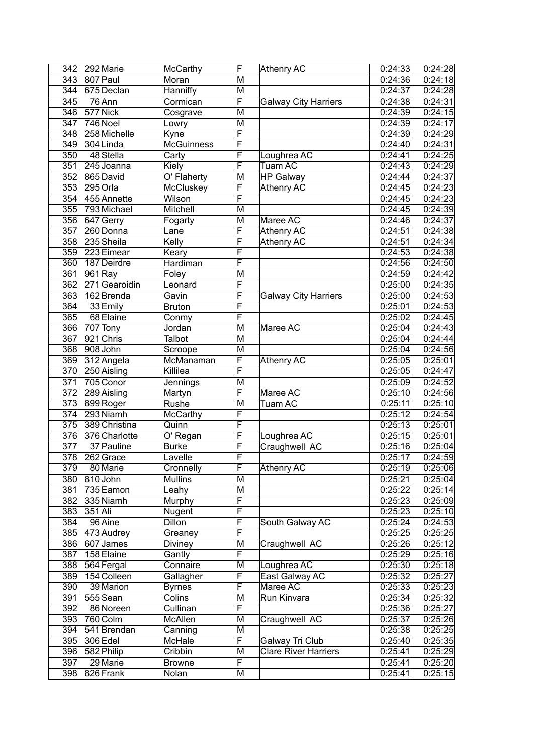| 342              |         | 292 Marie     | <b>McCarthy</b>   | F                       | <b>Athenry AC</b>           | 0:24:33 | 0:24:28 |
|------------------|---------|---------------|-------------------|-------------------------|-----------------------------|---------|---------|
| 343              |         | 807 Paul      | Moran             | $\overline{\mathsf{M}}$ |                             | 0:24:36 | 0:24:18 |
| 344              |         | 675 Declan    | Hanniffy          | M                       |                             | 0:24:37 | 0:24:28 |
| 345              |         | 76 Ann        | Cormican          | F                       | <b>Galway City Harriers</b> | 0:24:38 | 0:24:31 |
| 346              |         | 577 Nick      | Cosgrave          | M                       |                             | 0:24:39 | 0:24:15 |
| 347              |         | 746 Noel      | Lowry             | M                       |                             | 0:24:39 | 0:24:17 |
| 348              |         | 258 Michelle  | Kyne              | F                       |                             | 0:24:39 | 0:24:29 |
| 349              |         | 304 Linda     | <b>McGuinness</b> | F                       |                             | 0:24:40 | 0:24:31 |
| 350              |         | 48 Stella     | Carty             | F                       | Loughrea AC                 | 0:24:41 | 0:24:25 |
| 351              |         | 245 Joanna    | Kiely             | F                       | <b>Tuam AC</b>              | 0:24:43 | 0:24:29 |
| 352              |         | 865 David     | O' Flaherty       | М                       | <b>HP Galway</b>            | 0:24:44 | 0:24:37 |
| 353              |         | 295 Orla      | McCluskey         | F                       | <b>Athenry AC</b>           | 0:24:45 | 0:24:23 |
| 354              |         | 455 Annette   | Wilson            | F                       |                             | 0:24:45 | 0:24:23 |
| 355              |         | 793 Michael   | Mitchell          | M                       |                             | 0:24:45 | 0:24:39 |
| 356              |         | 647 Gerry     | Fogarty           | M                       | Maree AC                    | 0:24:46 | 0:24:37 |
| 357              |         | 260 Donna     | Lane              | F                       | <b>Athenry AC</b>           | 0:24:51 | 0:24:38 |
| 358              |         | 235 Sheila    | Kelly             | F                       | <b>Athenry AC</b>           | 0:24:51 | 0:24:34 |
| 359              |         | 223 Eimear    | Keary             | F                       |                             | 0:24:53 | 0:24:38 |
| 360              |         | 187Deirdre    | Hardiman          | F                       |                             | 0:24:56 | 0:24:50 |
| 361              |         | $961$ Ray     | Foley             | M                       |                             | 0:24:59 | 0:24:42 |
| 362              |         | 271 Gearoidin | Leonard           | F                       |                             | 0:25:00 | 0:24:35 |
| 363              |         | 162Brenda     | Gavin             | F                       | <b>Galway City Harriers</b> | 0:25:00 | 0:24:53 |
| 364              |         | 33 Emily      | <b>Bruton</b>     | F                       |                             | 0:25:01 | 0:24:53 |
| 365              |         | 68 Elaine     |                   | F                       |                             | 0:25:02 | 0:24:45 |
| 366              |         |               | Conmy             | M                       |                             |         | 0:24:43 |
|                  |         | 707 Tony      | Jordan            |                         | Maree AC                    | 0:25:04 |         |
| 367              |         | 921 Chris     | Talbot            | M                       |                             | 0:25:04 | 0:24:44 |
| 368              |         | 908John       | Scroope           | M                       |                             | 0:25:04 | 0:24:56 |
| 369              |         | 312 Angela    | McManaman         | F                       | <b>Athenry AC</b>           | 0:25:05 | 0:25:01 |
| 370              |         | 250 Aisling   | Killilea          | F                       |                             | 0:25:05 | 0:24:47 |
| 371              |         | 705 Conor     | Jennings          | M                       |                             | 0:25:09 | 0:24:52 |
| 372              |         | 289 Aisling   | Martyn            | F                       | Maree AC                    | 0:25:10 | 0:24:56 |
| $\overline{373}$ |         | 899 Roger     | Rushe             | M                       | Tuam AC                     | 0:25:11 | 0:25:10 |
| 374              |         | 293 Niamh     | McCarthy          | F                       |                             | 0:25:12 | 0:24:54 |
| 375              |         | 389 Christina | Quinn             | F                       |                             | 0:25:13 | 0:25:01 |
| 376              |         | 376 Charlotte | O' Regan          | F                       | Loughrea AC                 | 0:25:15 | 0:25:01 |
| 377              |         | 37 Pauline    | <b>Burke</b>      | F                       | Craughwell AC               | 0:25:16 | 0:25:04 |
| 378              |         | 262Grace      | Lavelle           | F                       |                             | 0:25:17 | 0:24:59 |
| 379              |         | 80 Marie      | Cronnelly         | $\overline{\mathsf{F}}$ | <b>Athenry AC</b>           | 0:25:19 | 0:25:06 |
| 380              |         | 810John       | <b>Mullins</b>    | M                       |                             | 0:25:21 | 0:25:04 |
| 381              |         | 735 Eamon     | Leahy             | M                       |                             | 0:25:22 | 0:25:14 |
| 382              |         | 335 Niamh     | Murphy            | F                       |                             | 0:25:23 | 0:25:09 |
| 383              | 351 Ali |               | Nugent            | F                       |                             | 0:25:23 | 0:25:10 |
| 384              |         | 96 Aine       | Dillon            | F                       | South Galway AC             | 0:25:24 | 0:24:53 |
| 385              |         | 473 Audrey    | Greaney           | $\overline{\mathsf{F}}$ |                             | 0:25:25 | 0:25:25 |
| 386              |         | 607 James     | Diviney           | M                       | Craughwell AC               | 0:25:26 | 0:25:12 |
| 387              |         | 158 Elaine    | Gantly            | F                       |                             | 0:25:29 | 0:25:16 |
| 388              |         | 564 Fergal    | Connaire          | Μ                       | Loughrea AC                 | 0:25:30 | 0:25:18 |
| 389              |         | 154 Colleen   | Gallagher         | F                       | East Galway AC              | 0:25:32 | 0:25:27 |
| 390              |         | 39 Marion     | <b>Byrnes</b>     | $\overline{\mathsf{F}}$ | Maree AC                    | 0:25:33 | 0:25:23 |
| 391              |         | 555 Sean      | Colins            | M                       | Run Kinvara                 | 0:25:34 | 0:25:32 |
| 392              |         | 86 Noreen     | Cullinan          | F                       |                             | 0:25:36 | 0:25:27 |
| 393              |         | 760 Colm      | McAllen           | M                       | Craughwell AC               | 0:25:37 | 0:25:26 |
| 394              |         | 541 Brendan   | Canning           | Μ                       |                             | 0:25:38 | 0:25:25 |
| 395              |         | 306 Edel      | McHale            | F                       | Galway Tri Club             | 0:25:40 | 0:25:35 |
| 396              |         | 582 Philip    | Cribbin           | M                       | <b>Clare River Harriers</b> | 0:25:41 | 0:25:29 |
| 397              |         | 29 Marie      | <b>Browne</b>     | F                       |                             | 0:25:41 | 0:25:20 |
| 398              |         | 826 Frank     | Nolan             | М                       |                             | 0:25:41 | 0:25:15 |
|                  |         |               |                   |                         |                             |         |         |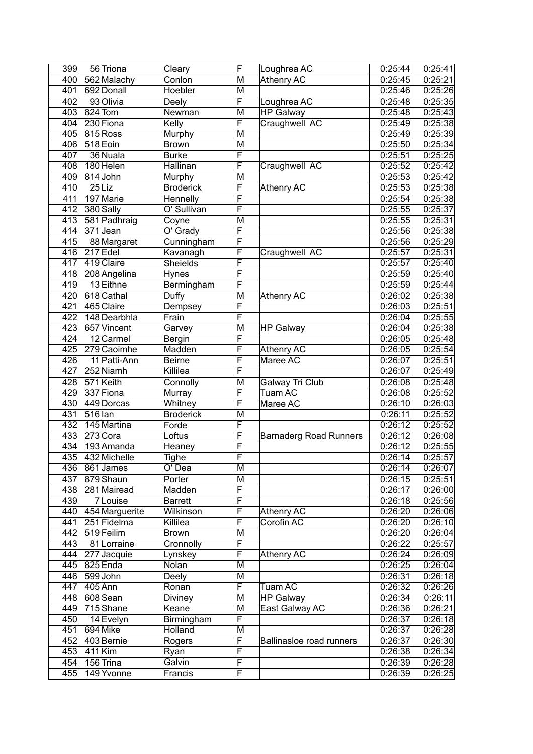| 399              |         | 56 Triona      | Cleary           | F                       | Loughrea AC                   | 0:25:44 | 0:25:41 |
|------------------|---------|----------------|------------------|-------------------------|-------------------------------|---------|---------|
| 400              |         | 562 Malachy    | Conlon           | M                       | <b>Athenry AC</b>             | 0:25:45 | 0:25:21 |
| 401              |         | 692 Donall     | Hoebler          | M                       |                               | 0:25:46 | 0:25:26 |
| 402              |         | 93 Olivia      | Deely            | F                       | Loughrea AC                   | 0:25:48 | 0:25:35 |
| 403              |         | 824 Tom        | Newman           | M                       | <b>HP Galway</b>              | 0:25:48 | 0:25:43 |
| 404              |         | 230 Fiona      | Kelly            | F                       | Craughwell AC                 | 0:25:49 | 0:25:38 |
| 405              |         | 815 Ross       | Murphy           | M                       |                               | 0:25:49 | 0:25:39 |
| 406              |         | 518 Eoin       | <b>Brown</b>     | M                       |                               | 0:25:50 | 0:25:34 |
| 407              |         | 36 Nuala       | <b>Burke</b>     | F                       |                               | 0:25:51 | 0:25:25 |
| 408              |         | 180 Helen      | Hallinan         | F                       | Craughwell AC                 | 0:25:52 | 0:25:42 |
| 409              |         | 814 John       | Murphy           | M                       |                               | 0:25:53 | 0:25:42 |
| 410              |         | $25$ Liz       | <b>Broderick</b> | F                       | <b>Athenry AC</b>             | 0:25:53 | 0:25:38 |
| 411              |         | 197 Marie      | Hennelly         | F                       |                               | 0:25:54 | 0:25:38 |
| 412              |         | 380 Sally      | O' Sullivan      | F                       |                               | 0:25:55 | 0:25:37 |
| 413              |         | 581 Padhraig   | Coyne            | M                       |                               | 0:25:55 | 0:25:31 |
| 414              |         | 371Jean        | O' Grady         | F                       |                               | 0:25:56 | 0:25:38 |
| 415              |         | 88 Margaret    | Cunningham       | F                       |                               | 0:25:56 | 0:25:29 |
| 416              |         | $217$ Edel     | Kavanagh         | F                       | Craughwell AC                 |         |         |
|                  |         |                |                  |                         |                               | 0:25:57 | 0:25:31 |
| 417              |         | 419 Claire     | Sheields         | F                       |                               | 0:25:57 | 0:25:40 |
| $\overline{418}$ |         | 208 Angelina   | Hynes            | F                       |                               | 0:25:59 | 0:25:40 |
| 419              |         | 13 Eithne      | Bermingham       | F                       |                               | 0:25:59 | 0:25:44 |
| 420              |         | 618 Cathal     | Duffy            | M                       | <b>Athenry AC</b>             | 0:26:02 | 0:25:38 |
| 421              |         | 465 Claire     | Dempsey          | F                       |                               | 0:26:03 | 0:25:51 |
| 422              |         | 148 Dearbhla   | Frain            | F                       |                               | 0:26:04 | 0:25:55 |
| 423              |         | 657 Vincent    | Garvey           | M                       | <b>HP Galway</b>              | 0:26:04 | 0:25:38 |
| 424              |         | 12 Carmel      | Bergin           | F                       |                               | 0:26:05 | 0:25:48 |
| 425              |         | 279 Caoimhe    | Madden           | F                       | <b>Athenry AC</b>             | 0:26:05 | 0:25:54 |
| 426              |         | 11 Patti-Ann   | <b>Beirne</b>    | F                       | Maree AC                      | 0:26:07 | 0:25:51 |
| 427              |         | 252 Niamh      | Killilea         | F                       |                               | 0:26:07 | 0:25:49 |
| 428              |         | 571 Keith      | Connolly         | M                       | Galway Tri Club               | 0:26:08 | 0:25:48 |
| 429              |         | 337 Fiona      | Murray           | F                       | <b>Tuam AC</b>                | 0:26:08 | 0:25:52 |
| 430              |         | 449 Dorcas     | Whitney          | F                       | Maree AC                      | 0:26:10 | 0:26:03 |
| 431              | 516 lan |                | <b>Broderick</b> | M                       |                               | 0:26:11 | 0:25:52 |
| 432              |         | 145 Martina    | Forde            | F                       |                               | 0:26:12 | 0:25:52 |
| 433              |         | 273 Cora       | Loftus           | F                       | <b>Barnaderg Road Runners</b> | 0:26:12 | 0:26:08 |
| 434              |         | 193 Amanda     | Heaney           | F                       |                               | 0:26:12 | 0:25:55 |
| 435              |         | 432 Michelle   | Tighe            | F                       |                               | 0:26:14 | 0:25:57 |
| 436              |         | 861 James      | O' Dea           | $\overline{\mathsf{M}}$ |                               | 0:26:14 | 0:26:07 |
| 437              |         | 879Shaun       | Porter           | M                       |                               | 0:26:15 | 0:25:51 |
| 438              |         | 281 Mairead    | Madden           | $\overline{\mathsf{F}}$ |                               | 0:26:17 | 0:26:00 |
| 439              |         | 7Louise        | <b>Barrett</b>   | $\overline{\mathsf{F}}$ |                               | 0:26:18 | 0:25:56 |
| 440              |         | 454 Marguerite | Wilkinson        | $\overline{F}$          | Athenry AC                    | 0:26:20 | 0:26:06 |
| 441              |         | 251 Fidelma    | Killilea         | F                       | Corofin AC                    | 0:26:20 | 0:26:10 |
| 442              |         | 519 Feilim     | <b>Brown</b>     | M                       |                               | 0:26:20 | 0:26:04 |
| 443              |         | 81 Lorraine    | Cronnolly        | F                       |                               | 0:26:22 | 0:25:57 |
| 444              |         | 277 Jacquie    |                  | F                       | Athenry AC                    | 0:26:24 | 0:26:09 |
| 445              |         | 825 Enda       | Lynskey<br>Nolan | M                       |                               | 0:26:25 | 0:26:04 |
|                  |         |                |                  |                         |                               |         |         |
| 446              |         | 599John        | Deely            | M                       |                               | 0:26:31 | 0:26:18 |
| 447              |         | $405$ Ann      | Ronan            | $\overline{\mathsf{F}}$ | Tuam AC                       | 0:26:32 | 0:26:26 |
| 448              |         | 608 Sean       | Diviney          | M                       | <b>HP Galway</b>              | 0:26:34 | 0:26:11 |
| 449              |         | 715Shane       | Keane            | M                       | East Galway AC                | 0:26:36 | 0:26:21 |
| 450              |         | 14 Evelyn      | Birmingham       | $\overline{\mathsf{F}}$ |                               | 0:26:37 | 0:26:18 |
| 451              |         | 694 Mike       | Holland          | M                       |                               | 0:26:37 | 0:26:28 |
| 452              |         | 403 Bernie     | Rogers           | $\overline{\mathsf{F}}$ | Ballinasloe road runners      | 0:26:37 | 0:26:30 |
| 453              |         | $411$ Kim      | Ryan             | F                       |                               | 0:26:38 | 0:26:34 |
| 454              |         | 156 Trina      | Galvin           | F                       |                               | 0:26:39 | 0:26:28 |
| 455              |         | 149 Yvonne     | Francis          | $\overline{\mathsf{F}}$ |                               | 0:26:39 | 0:26:25 |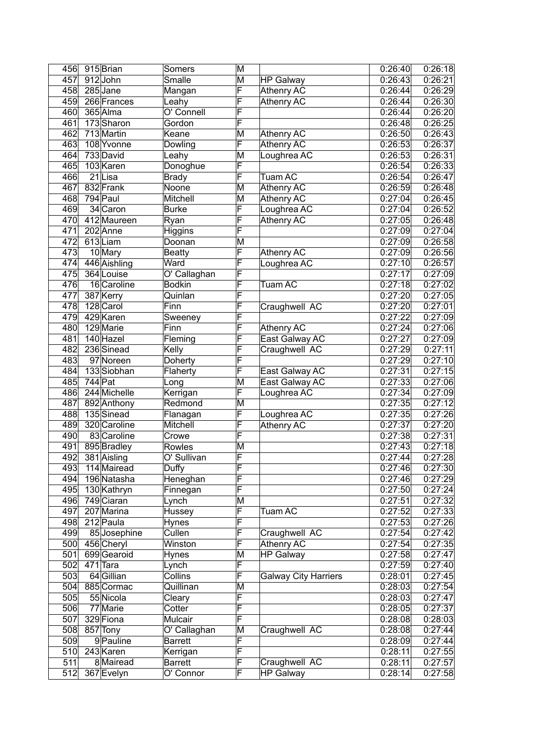| 456 |         | 915 Brian                   | Somers                        | M                       |                             | 0:26:40            | 0:26:18            |
|-----|---------|-----------------------------|-------------------------------|-------------------------|-----------------------------|--------------------|--------------------|
| 457 |         | 912John                     | $\overline{\mathsf{S}}$ malle | M                       | <b>HP Galway</b>            | 0:26:43            | 0:26:21            |
| 458 |         | 285 Jane                    | Mangan                        | F                       | <b>Athenry AC</b>           | 0:26:44            | 0:26:29            |
| 459 |         | 266 Frances                 | Leahy                         | F                       | <b>Athenry AC</b>           | 0:26:44            | 0:26:30            |
| 460 |         | 365 Alma                    | O' Connell                    | F                       |                             | 0:26:44            | 0:26:20            |
| 461 |         | 173 Sharon                  | Gordon                        | F                       |                             | 0:26:48            | 0:26:25            |
| 462 |         | 713 Martin                  | Keane                         | M                       | <b>Athenry AC</b>           | 0:26:50            | 0:26:43            |
| 463 |         | 108 Yvonne                  | Dowling                       | F                       | <b>Athenry AC</b>           | 0:26:53            | 0:26:37            |
| 464 |         | 733 David                   | Leahy                         | M                       | Loughrea AC                 | 0:26:53            | 0:26:31            |
| 465 |         | 103 Karen                   | Donoghue                      | F                       |                             | 0:26:54            | 0:26:33            |
| 466 |         | 21Lisa                      | <b>Brady</b>                  | F                       | <b>Tuam AC</b>              | 0:26:54            | 0:26:47            |
| 467 |         | 832 Frank                   | Noone                         | M                       | <b>Athenry AC</b>           | 0.26:59            | 0:26:48            |
| 468 |         | 794 Paul                    | Mitchell                      | M                       | <b>Athenry AC</b>           | 0:27:04            | 0:26:45            |
| 469 |         | 34 Caron                    | <b>Burke</b>                  | F                       | Loughrea AC                 | 0:27:04            | 0:26:52            |
| 470 |         | 412 Maureen                 | Ryan                          | F                       | <b>Athenry AC</b>           | 0:27:05            | 0:26:48            |
| 471 |         | 202 Anne                    | Higgins                       | F                       |                             | 0:27:09            | 0:27:04            |
| 472 |         | 613Liam                     | Doonan                        | M                       |                             | 0:27:09            | 0:26:58            |
| 473 |         | 10 Mary                     | <b>Beatty</b>                 | F                       | <b>Athenry AC</b>           | 0:27:09            | 0:26:56            |
| 474 |         | 446 Aishling                | Ward                          | F                       | Loughrea AC                 | 0:27:10            | 0:26:57            |
| 475 |         | 364 Louise                  | O' Callaghan                  | F                       |                             | 0:27:17            | 0:27:09            |
| 476 |         | 16 Caroline                 | <b>Bodkin</b>                 | F                       | <b>Tuam AC</b>              | 0:27:18            | 0:27:02            |
| 477 |         | 387 Kerry                   | Quinlan                       | F                       |                             | 0:27:20            | 0:27:05            |
| 478 |         | 128 Carol                   | Finn                          | F                       | Craughwell AC               | 0:27:20            | 0:27:01            |
| 479 |         | 429 Karen                   | Sweeney                       | F                       |                             | 0:27:22            | 0:27:09            |
| 480 |         | 129 Marie                   | Finn                          | F                       | <b>Athenry AC</b>           | 0:27:24            | 0:27:06            |
| 481 |         | 140 Hazel                   | Fleming                       | F                       | East Galway AC              | 0:27:27            | 0:27:09            |
| 482 |         | 236 Sinead                  | Kelly                         | F                       | Craughwell AC               | 0:27:29            | 0:27:11            |
| 483 |         | 97 Noreen                   | Doherty                       | F                       |                             | 0:27:29            | 0:27:10            |
| 484 |         | 133 Siobhan                 | Flaherty                      | $\overline{\mathsf{F}}$ | East Galway AC              | 0:27:31            | 0:27:15            |
| 485 | 744 Pat |                             | Long                          | M                       | East Galway AC              | 0:27:33            | 0:27:06            |
| 486 |         | 244 Michelle                | Kerrigan                      | $\overline{\mathsf{F}}$ | Loughrea AC                 | 0:27:34            | 0:27:09            |
| 487 |         | 892 Anthony                 | Redmond                       | M                       |                             | 0:27:35            | 0:27:12            |
| 488 |         | 135 Sinead                  |                               | $\overline{\mathsf{F}}$ |                             | 0:27:35            |                    |
| 489 |         |                             | Flanagan                      | F                       | Loughrea AC                 | 0:27:37            | 0:27:26<br>0:27:20 |
| 490 |         | 320 Caroline<br>83 Caroline | Mitchell                      | F                       | <b>Athenry AC</b>           | 0:27:38            |                    |
| 491 |         | 895 Bradley                 | Crowe<br><b>Rowles</b>        | M                       |                             | 0:27:43            | 0:27:31<br>0:27:18 |
| 492 |         |                             | O' Sullivan                   | $\overline{\mathsf{F}}$ |                             |                    |                    |
| 493 |         | 381 Aisling                 | Duffy                         | $\bar{\mathsf{F}}$      |                             | 0:27:44<br>0:27:46 | 0:27:28<br>0:27:30 |
|     |         | 114 Mairead                 |                               | F                       |                             |                    |                    |
| 494 |         | 196 Natasha                 | Heneghan                      | F                       |                             | 0:27:46            | 0:27:29            |
| 495 |         | 130 Kathryn                 | Finnegan                      |                         |                             | 0:27:50            | 0:27:24            |
| 496 |         | 749 Ciaran                  | Lynch                         | M                       |                             | 0:27:51            | 0:27:32            |
| 497 |         | 207 Marina                  | Hussey                        | F                       | Tuam AC                     | 0:27:52            | 0:27:33            |
| 498 |         | 212 Paula                   | Hynes                         | $\overline{\mathsf{F}}$ |                             | 0:27:53            | 0:27:26            |
| 499 |         | 85 Josephine                | Cullen                        | $\overline{\mathsf{F}}$ | Craughwell AC               | 0:27:54            | 0:27:42            |
| 500 |         | 456 Cheryl                  | Winston                       | $\overline{\mathsf{F}}$ | Athenry AC                  | 0:27:54            | 0:27:35            |
| 501 |         | 699 Gearoid                 | Hynes                         | M                       | <b>HP Galway</b>            | 0:27:58            | 0:27:47            |
| 502 |         | $471$ Tara                  | Lynch                         | F                       |                             | 0:27:59            | 0:27:40            |
| 503 |         | 64 Gillian                  | Collins                       | F                       | <b>Galway City Harriers</b> | 0:28:01            | 0:27:45            |
| 504 |         | 885 Cormac                  | Quillinan                     | M                       |                             | 0:28:03            | 0:27:54            |
| 505 |         | 55 Nicola                   | Cleary                        | F                       |                             | 0:28:03            | 0:27:47            |
| 506 |         | 77 Marie                    | Cotter                        | F                       |                             | 0:28:05            | 0:27:37            |
| 507 |         | 329 Fiona                   | Mulcair                       | F                       |                             | 0:28:08            | 0:28:03            |
| 508 |         | 857 Tony                    | O' Callaghan                  | M                       | Craughwell AC               | 0:28:08            | 0:27:44            |
| 509 |         | 9 Pauline                   | <b>Barrett</b>                | F                       |                             | 0:28:09            | 0:27:44            |
| 510 |         | 243 Karen                   | Kerrigan                      | F                       |                             | 0:28:11            | 0:27:55            |
| 511 |         | 8 Mairead                   | <b>Barrett</b>                | F                       | Craughwell AC               | 0:28:11            | 0:27:57            |
| 512 |         | 367 Evelyn                  | O' Connor                     | F                       | <b>HP Galway</b>            | 0:28:14            | 0:27:58            |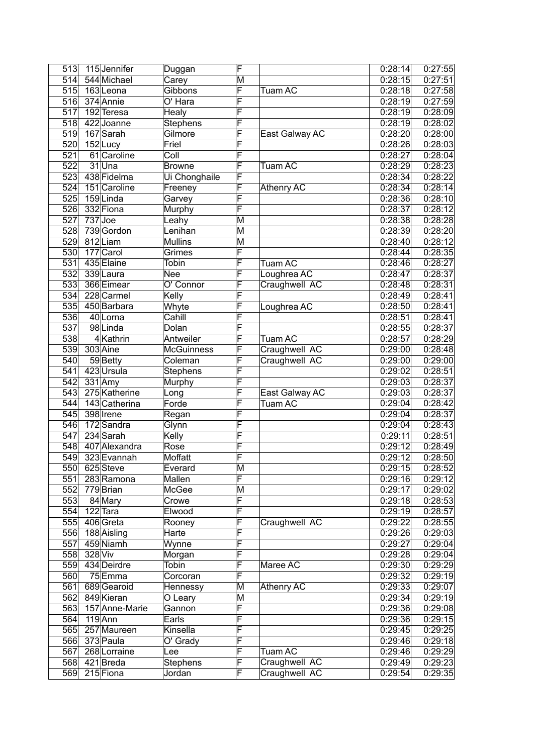| 513              |         | 115Jennifer    | Duggan                   | F                       |                   | 0:28:14              | 0:27:55 |
|------------------|---------|----------------|--------------------------|-------------------------|-------------------|----------------------|---------|
| 514              |         | 544 Michael    | Carey                    | M                       |                   | 0:28:15              | 0:27:51 |
| 515              |         | 163Leona       | Gibbons                  | F                       | <b>Tuam AC</b>    | 0:28:18              | 0:27:58 |
| 516              |         | 374 Annie      | O' Hara                  | F                       |                   | $\overline{0:}28:19$ | 0:27:59 |
| 517              |         | 192 Teresa     | Healy                    | F                       |                   | 0:28:19              | 0:28:09 |
| 518              |         | 422 Joanne     | Stephens                 | F                       |                   | 0:28:19              | 0:28:02 |
| 519              |         | 167 Sarah      | Gilmore                  | F                       | East Galway AC    | 0:28:20              | 0:28:00 |
| 520              |         | 152Lucy        | Friel                    | F                       |                   | 0:28:26              | 0:28:03 |
| $\overline{521}$ |         | 61 Caroline    | $\overline{\text{Coll}}$ | F                       |                   | 0:28:27              | 0:28:04 |
| 522              |         | 31Una          | <b>Browne</b>            | F                       | <b>Tuam AC</b>    | 0:28:29              | 0:28:23 |
| 523              |         | 438 Fidelma    | Ui Chonghaile            | F                       |                   | 0:28:34              | 0:28:22 |
| 524              |         | 151 Caroline   | Freeney                  | F                       | <b>Athenry AC</b> | 0:28:34              | 0:28:14 |
| 525              |         | 159Linda       | Garvey                   | F                       |                   | 0:28:36              | 0:28:10 |
| 526              |         | 332 Fiona      | Murphy                   | F                       |                   | 0:28:37              | 0:28:12 |
| 527              |         | $737$ Joe      | Leahy                    | M                       |                   | 0:28:38              | 0:28:28 |
| 528              |         | 739 Gordon     | Lenihan                  | M                       |                   | 0:28:39              | 0:28:20 |
| 529              |         | 812Liam        | <b>Mullins</b>           | M                       |                   | 0:28:40              | 0:28:12 |
| 530              |         | 177 Carol      | Grimes                   | F                       |                   | 0:28:44              | 0:28:35 |
| 531              |         | 435 Elaine     | Tobin                    | F                       | Tuam AC           | 0:28:46              | 0:28:27 |
| 532              |         | 339 Laura      | Nee                      | F                       | Loughrea AC       | 0:28:47              | 0:28:37 |
| 533              |         | 366 Eimear     | O' Connor                | F                       | Craughwell AC     | 0:28:48              | 0:28:31 |
| 534              |         | 228 Carmel     | Kelly                    | F                       |                   | 0:28:49              | 0:28:41 |
| 535              |         | 450 Barbara    | Whyte                    | F                       | Loughrea AC       | 0:28:50              | 0:28:41 |
| $\overline{536}$ |         | 40 Lorna       | Cahill                   | F                       |                   | 0:28:51              | 0:28:41 |
| $\overline{537}$ |         | 98Linda        | Dolan                    | F                       |                   | 0:28:55              | 0:28:37 |
| 538              |         | 4Kathrin       | Antweiler                | F                       | Tuam AC           | 0:28:57              | 0:28:29 |
| 539              |         | 303 Aine       | <b>McGuinness</b>        | F                       | Craughwell AC     | 0:29:00              | 0:28:48 |
| 540              |         | 59Betty        | Coleman                  | F                       | Craughwell AC     | 0:29:00              | 0:29:00 |
| 541              |         | 423 Ursula     | Stephens                 | F                       |                   | 0:29:02              | 0:28:51 |
| 542              |         | 331 Amy        | Murphy                   | $\overline{\mathsf{F}}$ |                   | 0:29:03              | 0:28:37 |
| 543              |         | 275 Katherine  | Long                     | F                       | East Galway AC    | 0:29:03              | 0:28:37 |
| 544              |         | 143 Catherina  | Forde                    | F                       | <b>Tuam AC</b>    | 0:29:04              | 0:28:42 |
| 545              |         | 398 Irene      | Regan                    | F                       |                   | 0:29:04              | 0:28:37 |
| 546              |         | 172 Sandra     | Glynn                    | F                       |                   | 0:29:04              | 0:28:43 |
| 547              |         | 234 Sarah      | Kelly                    | F                       |                   | 0:29:11              | 0:28:51 |
| 548              |         | 407 Alexandra  | Rose                     | $\overline{\mathsf{F}}$ |                   | 0:29:12              | 0:28:49 |
| 549              |         | 323 Evannah    | <b>Moffatt</b>           | F                       |                   | 0:29:12              | 0:28:50 |
| 550              |         | 625 Steve      | Everard                  | M                       |                   | 0:29:15              | 0:28:52 |
| 551              |         | 283 Ramona     | Mallen                   | $\overline{\mathsf{F}}$ |                   | 0:29:16              | 0:29:12 |
| 552              |         | 779 Brian      | McGee                    | M                       |                   | 0:29:17              | 0:29:02 |
| 553              |         | 84 Mary        | Crowe                    | F                       |                   | 0:29:18              | 0:28:53 |
| 554              |         | 122 Tara       | Elwood                   | F                       |                   | 0:29:19              | 0:28:57 |
| 555              |         | 406 Greta      | Rooney                   | F                       | Craughwell AC     | 0:29:22              | 0:28:55 |
| 556              |         | 188 Aisling    | Harte                    | F                       |                   | 0:29:26              | 0:29:03 |
| 557              |         | 459 Niamh      | Wynne                    | F                       |                   | 0:29:27              | 0:29:04 |
| 558              | 328 Viv |                | Morgan                   | F                       |                   | 0:29:28              | 0:29:04 |
| 559              |         | 434 Deirdre    | Tobin                    | F                       | Maree AC          | 0:29:30              | 0:29:29 |
| 560              |         | 75Emma         | Corcoran                 | F                       |                   | 0:29:32              | 0:29:19 |
| 561              |         | 689 Gearoid    | Hennessy                 | M                       | Athenry AC        | 0:29:33              | 0:29:07 |
| 562              |         | 849 Kieran     | O Leary                  | M                       |                   | 0:29:34              | 0:29:19 |
| 563              |         | 157 Anne-Marie | Gannon                   | F                       |                   | 0:29:36              | 0:29:08 |
| 564              |         | $119$ Ann      | Earls                    | F                       |                   | 0:29:36              | 0:29:15 |
| 565              |         | 257 Maureen    | Kinsella                 | F                       |                   | 0:29:45              | 0:29:25 |
| 566              |         | 373 Paula      | O' Grady                 | F                       |                   | 0:29:46              | 0:29:18 |
| 567              |         | 268 Lorraine   | Lee                      | F                       | <b>Tuam AC</b>    | 0:29:46              | 0:29:29 |
| 568              |         | 421 Breda      | Stephens                 | F                       | Craughwell AC     | 0:29:49              | 0:29:23 |
| 569              |         | 215 Fiona      | Jordan                   | F                       | Craughwell AC     | 0:29:54              | 0:29:35 |
|                  |         |                |                          |                         |                   |                      |         |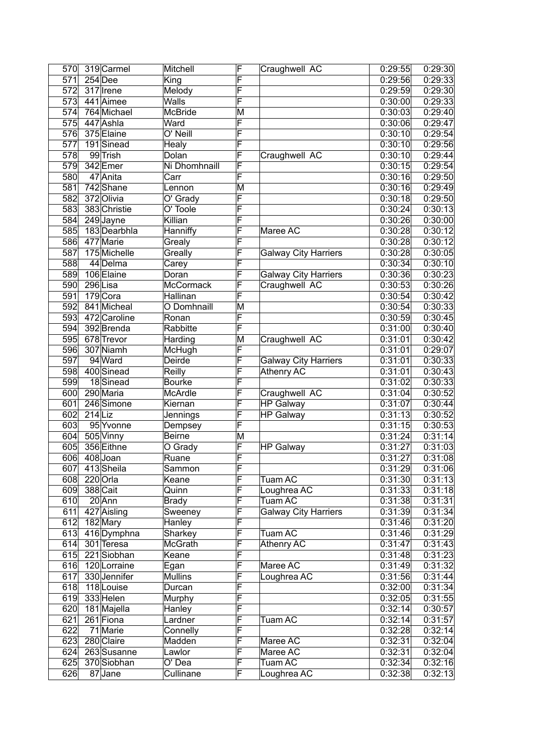| 570              |           | 319 Carmel   | Mitchell       | F      | Craughwell AC               | 0:29:55 | 0:29:30 |
|------------------|-----------|--------------|----------------|--------|-----------------------------|---------|---------|
| 571              |           | $254$ Dee    | King           | F      |                             | 0:29:56 | 0:29:33 |
| 572              |           | 317 Irene    | Melody         | F      |                             | 0:29:59 | 0:29:30 |
| $\overline{573}$ |           | 441 Aimee    | Walls          | F      |                             | 0:30:00 | 0:29:33 |
| 574              |           | 764 Michael  | <b>McBride</b> | M      |                             | 0:30:03 | 0:29:40 |
| 575              |           | 447 Ashla    | Ward           | F      |                             | 0:30:06 | 0:29:47 |
| 576              |           | 375 Elaine   | O' Neill       | F      |                             | 0:30:10 | 0:29:54 |
| 577              |           | 191Sinead    | Healy          | F      |                             | 0:30:10 | 0:29:56 |
| $\overline{578}$ |           | 99 Trish     | Dolan          | F      | Craughwell AC               | 0:30:10 | 0:29:44 |
| $\overline{579}$ |           | 342 Emer     | Ni Dhomhnaill  | F      |                             | 0:30:15 | 0:29:54 |
| 580              |           | 47 Anita     | Carr           | F      |                             | 0:30:16 | 0:29:50 |
| 581              |           | 742 Shane    | Lennon         | M      |                             | 0:30:16 | 0:29:49 |
| 582              |           | 372 Olivia   | O' Grady       | F      |                             | 0:30:18 | 0:29:50 |
| 583              |           | 383 Christie | O' Toole       | F      |                             | 0:30:24 | 0:30:13 |
| 584              |           | 249 Jayne    | Killian        | F      |                             | 0:30:26 | 0:30:00 |
| 585              |           | 183 Dearbhla | Hanniffy       | F      | Maree AC                    | 0:30:28 | 0:30:12 |
| 586              |           | 477 Marie    |                | F      |                             | 0:30:28 | 0:30:12 |
|                  |           | 175 Michelle | Grealy         |        |                             |         |         |
| 587              |           | 44 Delma     | Greally        | F<br>F | <b>Galway City Harriers</b> | 0:30:28 | 0:30:05 |
| 588              |           |              | Carey          |        |                             | 0:30:34 | 0:30:10 |
| 589              |           | 106 Elaine   | Doran          | F      | <b>Galway City Harriers</b> | 0:30:36 | 0:30:23 |
| 590              |           | 296 Lisa     | McCormack      | F      | Craughwell AC               | 0:30:53 | 0:30:26 |
| 591              |           | 179 Cora     | Hallinan       | F      |                             | 0:30:54 | 0:30:42 |
| 592              |           | 841 Micheal  | O Domhnaill    | M      |                             | 0:30:54 | 0:30:33 |
| $\overline{593}$ |           | 472 Caroline | Ronan          | F      |                             | 0:30:59 | 0:30:45 |
| $\overline{594}$ |           | 392 Brenda   | Rabbitte       | F      |                             | 0:31:00 | 0:30:40 |
| 595              |           | 678 Trevor   | Harding        | M      | Craughwell AC               | 0:31:01 | 0:30:42 |
| 596              |           | 307 Niamh    | McHugh         | F      |                             | 0:31:01 | 0:29:07 |
| 597              |           | 94 Ward      | Deirde         | F      | <b>Galway City Harriers</b> | 0:31:01 | 0:30:33 |
| 598              |           | 400 Sinead   | Reilly         | F      | <b>Athenry AC</b>           | 0:31:01 | 0:30:43 |
| $\overline{599}$ |           | 18Sinead     | <b>Bourke</b>  | F      |                             | 0:31:02 | 0:30:33 |
| 600              |           | 290 Maria    | McArdle        | F      | Craughwell AC               | 0:31:04 | 0:30:52 |
| 601              |           | 246 Simone   | Kiernan        | F      | <b>HP Galway</b>            | 0:31:07 | 0:30:44 |
| 602              | $214$ Liz |              | Jennings       | F      | <b>HP Galway</b>            | 0:31:13 | 0:30:52 |
| 603              |           | 95 Yvonne    | Dempsey        | F      |                             | 0:31:15 | 0:30:53 |
| 604              |           | 505 Vinny    | <b>Beirne</b>  | M      |                             | 0:31:24 | 0:31:14 |
| 605              |           | 356 Eithne   | O Grady        | F      | <b>HP Galway</b>            | 0:31:27 | 0:31:03 |
| 606              |           | 408 Joan     | Ruane          | F      |                             | 0:31:27 | 0:31:08 |
| 607              |           | 413Sheila    | Sammon         | ۲      |                             | 0:31:29 | 0:31:06 |
| 608              |           | 220 Orla     | Keane          | F      | Tuam AC                     | 0:31:30 | 0:31:13 |
| 609              |           | 388 Cait     | Quinn          | F      | Loughrea AC                 | 0:31:33 | 0:31:18 |
| 610              |           | $20$ Ann     | <b>Brady</b>   | F      | Tuam AC                     | 0:31:38 | 0:31:31 |
| 611              |           | 427 Aisling  | Sweeney        | F      | <b>Galway City Harriers</b> | 0:31:39 | 0:31:34 |
| 612              |           | 182 Mary     | Hanley         | F      |                             | 0:31:46 | 0:31:20 |
| 613              |           | 416Dymphna   | Sharkey        | F      | <b>Tuam AC</b>              | 0:31:46 | 0:31:29 |
| 614              |           | 301 Teresa   | McGrath        | F      | <b>Athenry AC</b>           | 0:31:47 | 0:31:43 |
| 615              |           | 221 Siobhan  | Keane          | F      |                             | 0:31:48 | 0:31:23 |
| 616              |           | 120 Lorraine | Egan           | F      | Maree AC                    | 0:31:49 | 0:31:32 |
| 617              |           | 330 Jennifer | Mullins        | F      | Loughrea AC                 | 0:31:56 | 0:31:44 |
| 618              |           | 118 Louise   | Durcan         | F      |                             | 0:32:00 | 0:31:34 |
| 619              |           | 333 Helen    | Murphy         | F      |                             | 0:32:05 | 0:31:55 |
| 620              |           | 181 Majella  | Hanley         | F      |                             | 0:32:14 | 0:30:57 |
| 621              |           |              | Lardner        | F      | Tuam AC                     | 0:32:14 | 0:31:57 |
| 622              |           | 261 Fiona    | Connelly       | F      |                             | 0:32:28 | 0:32:14 |
|                  |           | 71 Marie     |                | F      |                             |         |         |
| 623              |           | 280 Claire   | Madden         |        | Maree AC                    | 0:32:31 | 0:32:04 |
| 624              |           | 263 Susanne  | Lawlor         | F      | Maree AC                    | 0:32:31 | 0:32:04 |
| 625              |           | 370 Siobhan  | O' Dea         | F      | Tuam AC                     | 0:32:34 | 0:32:16 |
| 626              |           | 87Jane       | Cullinane      | F      | Loughrea AC                 | 0:32:38 | 0:32:13 |